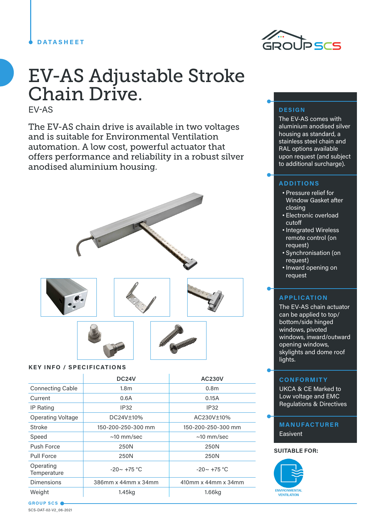### **DATASHEET**



# EV-AS Adjustable Stroke Chain Drive.

EV-AS

The EV-AS chain drive is available in two voltages and is suitable for Environmental Ventilation automation. A low cost, powerful actuator that offers performance and reliability in a robust silver anodised aluminium housing.



## **KEY INFO / SPECIFICATIONS**

|                          | DC <sub>24</sub> V  | <b>AC230V</b>       |
|--------------------------|---------------------|---------------------|
| <b>Connecting Cable</b>  | 1.8 <sub>m</sub>    | 0.8 <sub>m</sub>    |
| Current                  | 0.6A                | 0.15A               |
| IP Rating                | IP32                | <b>IP32</b>         |
| <b>Operating Voltage</b> | DC24V±10%           | AC230V±10%          |
| Stroke                   | 150-200-250-300 mm  | 150-200-250-300 mm  |
| Speed                    | $\sim$ 10 mm/sec    | $\sim$ 10 mm/sec    |
| Push Force               | 250N                | 250N                |
| Pull Force               | 250N                | 250N                |
| Operating<br>Temperature | $-20 \sim +75$ °C   | $-20 \sim +75$ °C   |
| <b>Dimensions</b>        | 386mm x 44mm x 34mm | 410mm x 44mm x 34mm |
| Weight                   | 1.45kg              | 1.66kg              |

# **DESIGN**

The EV-AS comes with aluminium anodised silver housing as standard, a stainless steel chain and RAL options available upon request (and subject to additional surcharge).

### **ADDITIONS**

- Pressure relief for Window Gasket after closing
- Electronic overload cutoff
- Integrated Wireless remote control (on request)
- Synchronisation (on request)
- Inward opening on request

#### **APPLICATION**

The EV-AS chain actuator can be applied to top/ bottom/side hinged windows, pivoted windows, inward/outward opening windows, skylights and dome roof lights.

#### **CONFORMITY**

UKCA & CE Marked to Low voltage and EMC Regulations & Directives

#### **MANUFACTURER**

**Easivent** 

#### **SUITABLE FOR:**